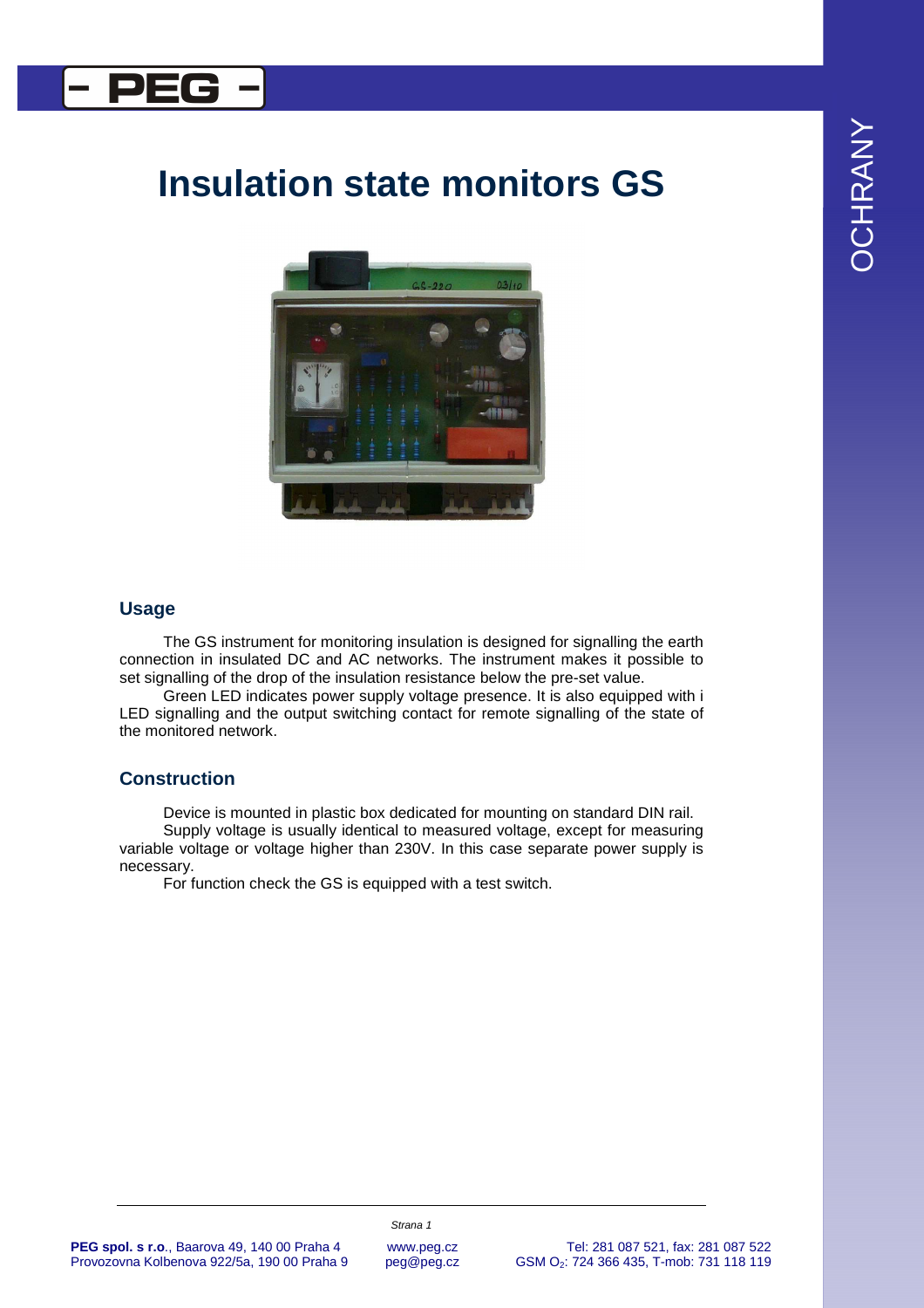# *CCHRANY*

## l

### **Insulation state monitors GS**



#### **Usage**

The GS instrument for monitoring insulation is designed for signalling the earth connection in insulated DC and AC networks. The instrument makes it possible to set signalling of the drop of the insulation resistance below the pre-set value.

Green LED indicates power supply voltage presence. It is also equipped with i LED signalling and the output switching contact for remote signalling of the state of the monitored network.

#### **Construction**

Device is mounted in plastic box dedicated for mounting on standard DIN rail. Supply voltage is usually identical to measured voltage, except for measuring variable voltage or voltage higher than 230V. In this case separate power supply is necessary.

For function check the GS is equipped with a test switch.